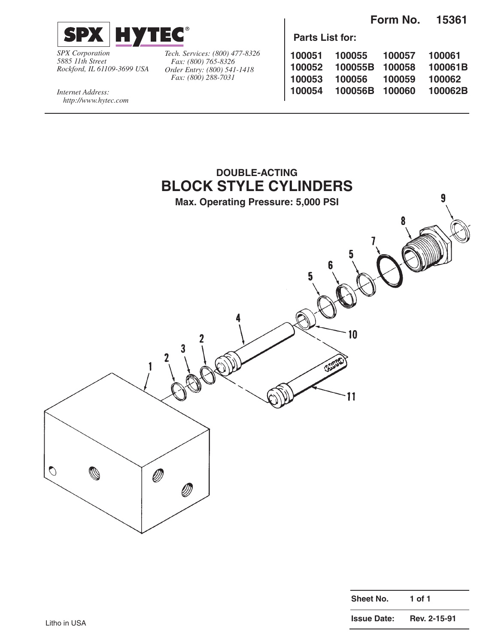**Form No. 15361**



*SPX Corporation 5885 11th Street Rockford, IL 61109-3699 USA* *Tech. Services: (800) 477-8326 Fax: (800) 765-8326 Order Entry: (800) 541-1418 Fax: (800) 288-7031*

**Parts List for:**

| 100051 | 100055  | 100057 | 100061  |
|--------|---------|--------|---------|
| 100052 | 100055B | 100058 | 100061B |
| 100053 | 100056  | 100059 | 100062  |
| 100054 | 100056B | 100060 | 100062B |
|        |         |        |         |

*Internet Address: http://www.hytec.com*